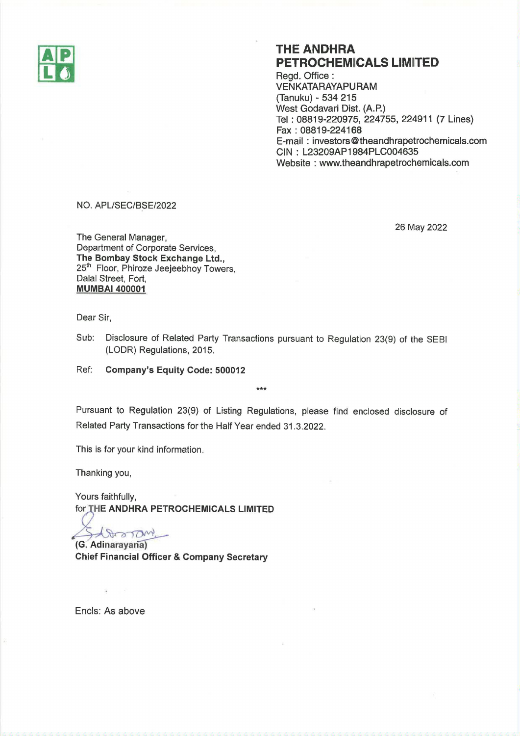

## THE ANDHRA PETROCHEMICALS LIMITED

Regd. Office : VENKATARAYAPURAM (Tanuku) - 534 215 West Godavari Dist. (A.P.) Tel : 08819-220975, 224755, 224911 (7 Lines) Fax : 08819-224168 E-mail : investors @ theandhrapetrochemicals.com CIN : L23209AP1984PLC004635 Website : www.theandhrapetrochemicals.com

NO. APL/SEC/BSE/2022

26 May 2022

The General Manager, Department of Corporate Services, The Bombay Stock Exchange Ltd., 25<sup>th</sup> Floor, Phiroze Jeejeebhoy Towers, Dalal Street, Fort, MUMBA! 400001

Dear Sir,

Sub: Disclosure of Related Party Transactions pursuant to Regulation 23(9) of the SEBI (LODR) Regulations, 2015.

Ref; Company's Equity Code: 500012

Pursuant to Regulation 23(9) of Listing Regulations, please find enclosed disclosure of Related Party Transactions for the Half Year ended 31.3.2022.

kW

This is for your kind information.

Thanking you,

Yours faithfully, for THE ANDHRA PETROCHEMICALS LIMITED

 $\left($ G. Adinarayana)

Chief Financial Officer & Company Secretary

Encls: As above